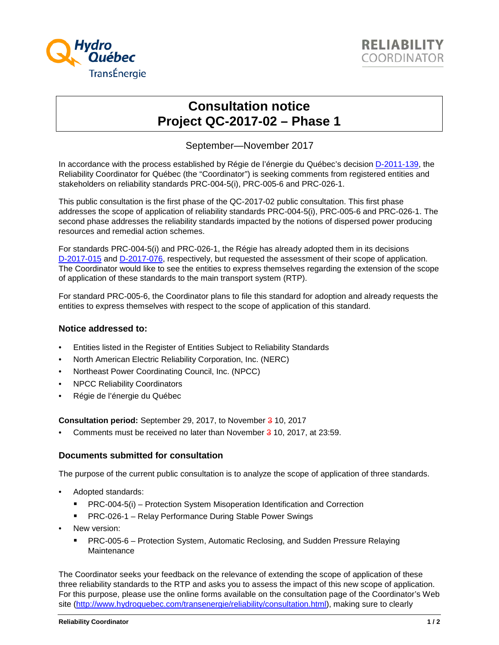



## **Consultation notice Project QC-2017-02 – Phase 1**

September—November 2017

In accordance with the process established by Régie de l'énergie du Québec's decision [D-2011-139,](http://www.regie-energie.qc.ca/audiences/decisions/d-2011-139.pdf) the Reliability Coordinator for Québec (the "Coordinator") is seeking comments from registered entities and stakeholders on reliability standards PRC-004-5(i), PRC-005-6 and PRC-026-1.

This public consultation is the first phase of the QC-2017-02 public consultation. This first phase addresses the scope of application of reliability standards PRC-004-5(i), PRC-005-6 and PRC-026-1. The second phase addresses the reliability standards impacted by the notions of dispersed power producing resources and remedial action schemes.

For standards PRC-004-5(i) and PRC-026-1, the Régie has already adopted them in its decisions [D-2017-015](http://publicsde.regie-energie.qc.ca/projets/400/DocPrj/R-3997-2016-A-0008-Dec-Dec-2017_02_14.pdf#page=12) and [D-2017-076,](http://publicsde.regie-energie.qc.ca/projets/400/DocPrj/R-3997-2016-A-0022-Dec-Dec-2017_07_10.pdf#page=12) respectively, but requested the assessment of their scope of application. The Coordinator would like to see the entities to express themselves regarding the extension of the scope of application of these standards to the main transport system (RTP).

For standard PRC-005-6, the Coordinator plans to file this standard for adoption and already requests the entities to express themselves with respect to the scope of application of this standard.

## **Notice addressed to:**

- Entities listed in the Register of Entities Subject to Reliability Standards
- North American Electric Reliability Corporation, Inc. (NERC)
- Northeast Power Coordinating Council, Inc. (NPCC)
- NPCC Reliability Coordinators
- Régie de l'énergie du Québec

**Consultation period:** September 29, 2017, to November 3 10, 2017

Comments must be received no later than November 3 10, 2017, at 23:59.

## **Documents submitted for consultation**

The purpose of the current public consultation is to analyze the scope of application of three standards.

- Adopted standards:
	- **PRC-004-5(i) Protection System Misoperation Identification and Correction**
	- PRC-026-1 Relay Performance During Stable Power Swings
- New version:
	- PRC-005-6 Protection System, Automatic Reclosing, and Sudden Pressure Relaying **Maintenance**

The Coordinator seeks your feedback on the relevance of extending the scope of application of these three reliability standards to the RTP and asks you to assess the impact of this new scope of application. For this purpose, please use the online forms available on the consultation page of the Coordinator's Web site [\(http://www.hydroquebec.com/transenergie/reliability/consultation.html\)](http://www.hydroquebec.com/transenergie/reliability/consultation.html), making sure to clearly